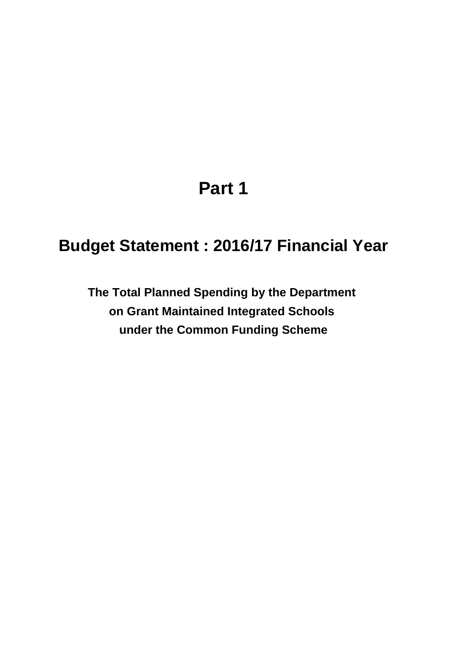## **Part 1**

# **Budget Statement : 2016/17 Financial Year**

**The Total Planned Spending by the Department on Grant Maintained Integrated Schools under the Common Funding Scheme**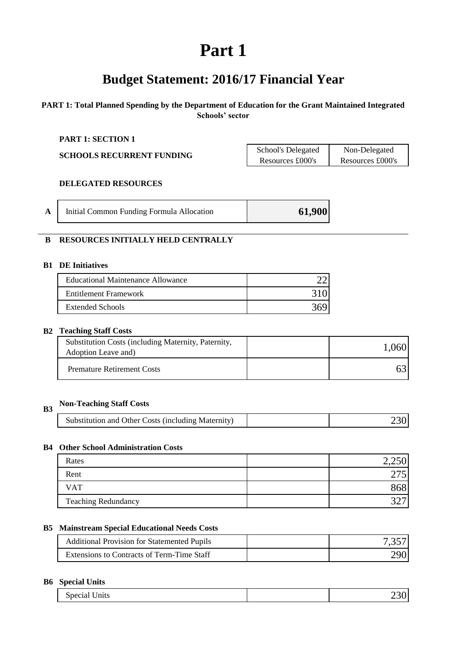## **Part 1**

### **Budget Statement: 2016/17 Financial Year**

#### **PART 1: Total Planned Spending by the Department of Education for the Grant Maintained Integrated Schools' sector**

#### **PART 1: SECTION 1**

| <b>SCHOOLS RECURRENT FUNDING</b> | School's Delegated | Non-Delegated    |
|----------------------------------|--------------------|------------------|
|                                  | Resources £000's   | Resources £000's |

#### **DELEGATED RESOURCES**

#### **B RESOURCES INITIALLY HELD CENTRALLY**

#### **B1 DE Initiatives**

| Educational Maintenance Allowance |  |
|-----------------------------------|--|
| Entitlement Framework             |  |
| <b>Extended Schools</b>           |  |

#### **B2 Teaching Staff Costs**

| Substitution Costs (including Maternity, Paternity,<br>Adoption Leave and) | 1.060 |
|----------------------------------------------------------------------------|-------|
| <b>Premature Retirement Costs</b>                                          |       |

### **B3 Non-Teaching Staff Costs**

| Substitution and Other Costs (including Maternity) |  |
|----------------------------------------------------|--|
|                                                    |  |

#### **B4 Other School Administration Costs**

| Rates                      | $\bigcap$ |
|----------------------------|-----------|
| Rent                       |           |
| <b>VAT</b>                 |           |
| <b>Teaching Redundancy</b> |           |

#### **B5 Mainstream Special Educational Needs Costs**

| <b>Additional Provision for Statemented Pupils</b> |      |
|----------------------------------------------------|------|
| Extensions to Contracts of Term-Time Staff         | 290L |

#### **B6 Special Units**